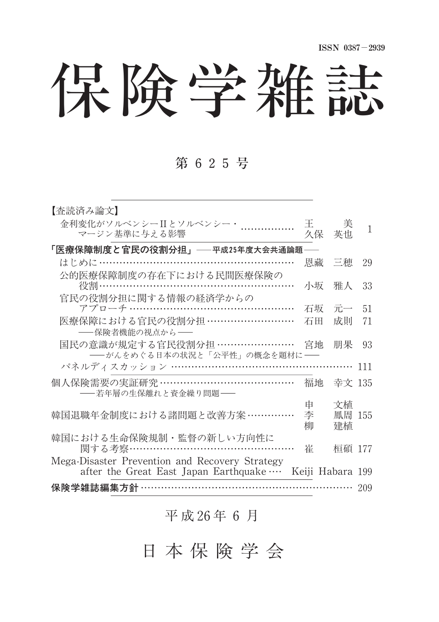保険学雑誌

## 第 625号

| 【査読済み論文】                                                                                |                  |         |     |  |  |  |  |
|-----------------------------------------------------------------------------------------|------------------|---------|-----|--|--|--|--|
| 金利変化がソルベンシーIIとソルベンシー・<br>マージン基準に与える影響                                                   | Ŧ.<br>久保         | 美<br>英也 | 1   |  |  |  |  |
| 「医療保障制度と官民の役割分担」——平成25年度大会共通論題——                                                        |                  |         |     |  |  |  |  |
| はじめに……………………………………………                                                                   | 恩藏               | 三穂      | 29  |  |  |  |  |
| 公的医療保障制度の存在下における民間医療保険の<br> 役割………………………………………………                                        | 小坂               | 雅人      | 33  |  |  |  |  |
| 官民の役割分担に関する情報の経済学からの                                                                    |                  |         |     |  |  |  |  |
|                                                                                         | 石坂               | 元一      | 51  |  |  |  |  |
| 医療保障における官民の役割分担 ………………………                                                               | 石田               | 成則      | 71  |  |  |  |  |
| ――保険者機能の視点から――                                                                          |                  |         |     |  |  |  |  |
| 国民の意識が規定する官民役割分担 ……………………<br>――がんをめぐる日本の状況と「公平性」の概念を題材に――                               | 宮地               | 朋果      | 93  |  |  |  |  |
| パネルディスカッション ……………………………………………                                                           |                  |         | 111 |  |  |  |  |
| 個人保険需要の実証研究 …………………………………<br>――若年層の生保離れと資金繰り問題――                                        | 福地               | 幸文 135  |     |  |  |  |  |
|                                                                                         | 申                | 文植      |     |  |  |  |  |
| 韓国退職年金制度における諸問題と改善方案 ……………                                                              | 李                | 鳳周 155  |     |  |  |  |  |
|                                                                                         | 柳                | 建植      |     |  |  |  |  |
| 韓国における生命保険規制・監督の新しい方向性に<br>関する考察……………………………                                             | 崔                | 桓碩 177  |     |  |  |  |  |
| Mega-Disaster Prevention and Recovery Strategy<br>after the Great East Japan Earthquake | Keiji Habara 199 |         |     |  |  |  |  |
| 保険学雑誌編集方針・<br>209                                                                       |                  |         |     |  |  |  |  |

平 成 26年 6 月

日 本 保 険 学 会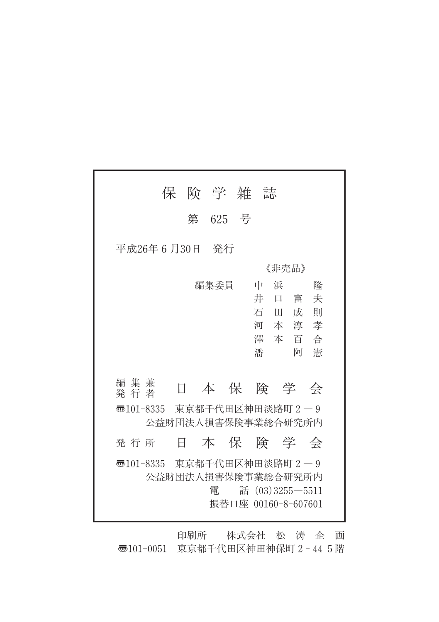|                                                     | 保                  |    | 険 学 雑 誌 |                     |    |       |                     |   |
|-----------------------------------------------------|--------------------|----|---------|---------------------|----|-------|---------------------|---|
|                                                     |                    |    | 第 625 号 |                     |    |       |                     |   |
| 平成26年 6 月30日  発行                                    |                    |    |         |                     |    |       |                     |   |
|                                                     |                    |    |         |                     |    | 《非壳品》 |                     |   |
|                                                     |                    |    | 編集委員    |                     | 中  | 浜     |                     | 降 |
|                                                     |                    |    |         |                     | 井  | 口     | 富                   | 夫 |
|                                                     |                    |    |         |                     | 石田 |       | 成                   | 則 |
|                                                     |                    |    |         |                     |    |       | 河本淳孝<br>澤本百合        |   |
|                                                     |                    |    |         |                     | 潘  |       | 阿                   | 憲 |
|                                                     |                    |    |         |                     |    |       |                     |   |
| 編集兼<br>発 行 者                                        | 日                  |    | 本保険学会   |                     |    |       |                     |   |
| 35101-8335 東京都千代田区神田淡路町 2 - 9<br>公益財団法人損害保険事業総合研究所内 |                    |    |         |                     |    |       |                     |   |
| 発 行 所                                               |                    | Η. | 本保険学会   |                     |    |       |                     |   |
| 35101-8335 東京都千代田区神田淡路町 2 - 9                       | 公益財団法人損害保険事業総合研究所内 |    | 雷       | 振替口座 00160-8-607601 |    |       | 話 $(03)3255 - 5511$ |   |

印刷所 株式会社 松 涛 企 画 〠101-0051 東京都千代田区神田神保町2-445階